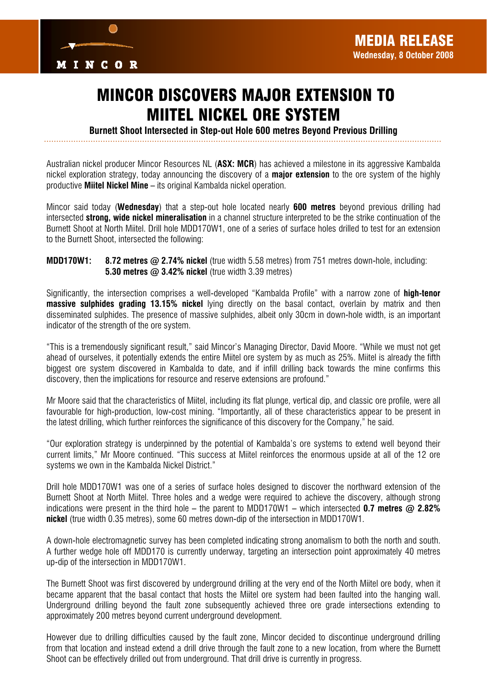

## MINCOR DISCOVERS MAJOR EXTENSION TO MIITEL NICKEL ORE SYSTEM

*Burnett Shoot Intersected in Step-out Hole 600 metres Beyond Previous Drilling* 

Australian nickel producer Mincor Resources NL (*ASX: MCR*) has achieved a milestone in its aggressive Kambalda nickel exploration strategy, today announcing the discovery of a *major extension* to the ore system of the highly productive *Miitel Nickel Mine* – its original Kambalda nickel operation.

Mincor said today (*Wednesday*) that a step-out hole located nearly *600 metres* beyond previous drilling had intersected *strong, wide nickel mineralisation* in a channel structure interpreted to be the strike continuation of the Burnett Shoot at North Miitel. Drill hole MDD170W1, one of a series of surface holes drilled to test for an extension to the Burnett Shoot, intersected the following:

## *MDD170W1: 8.72 metres @ 2.74% nickel* (true width 5.58 metres) from 751 metres down-hole, including: *5.30 metres @ 3.42% nickel* (true width 3.39 metres)

Significantly, the intersection comprises a well-developed "Kambalda Profile" with a narrow zone of *high-tenor massive sulphides grading 13.15% nickel* lying directly on the basal contact, overlain by matrix and then disseminated sulphides. The presence of massive sulphides, albeit only 30cm in down-hole width, is an important indicator of the strength of the ore system.

"This is a tremendously significant result," said Mincor's Managing Director, David Moore. "While we must not get ahead of ourselves, it potentially extends the entire Miitel ore system by as much as 25%. Miitel is already the fifth biggest ore system discovered in Kambalda to date, and if infill drilling back towards the mine confirms this discovery, then the implications for resource and reserve extensions are profound."

Mr Moore said that the characteristics of Miitel, including its flat plunge, vertical dip, and classic ore profile, were all favourable for high-production, low-cost mining. "Importantly, all of these characteristics appear to be present in the latest drilling, which further reinforces the significance of this discovery for the Company," he said.

"Our exploration strategy is underpinned by the potential of Kambalda's ore systems to extend well beyond their current limits," Mr Moore continued. "This success at Miitel reinforces the enormous upside at all of the 12 ore systems we own in the Kambalda Nickel District."

Drill hole MDD170W1 was one of a series of surface holes designed to discover the northward extension of the Burnett Shoot at North Miitel. Three holes and a wedge were required to achieve the discovery, although strong indications were present in the third hole – the parent to MDD170W1 – which intersected *0.7 metres @ 2.82% nickel* (true width 0.35 metres), some 60 metres down-dip of the intersection in MDD170W1.

A down-hole electromagnetic survey has been completed indicating strong anomalism to both the north and south. A further wedge hole off MDD170 is currently underway, targeting an intersection point approximately 40 metres up-dip of the intersection in MDD170W1.

The Burnett Shoot was first discovered by underground drilling at the very end of the North Miitel ore body, when it became apparent that the basal contact that hosts the Miitel ore system had been faulted into the hanging wall. Underground drilling beyond the fault zone subsequently achieved three ore grade intersections extending to approximately 200 metres beyond current underground development.

However due to drilling difficulties caused by the fault zone, Mincor decided to discontinue underground drilling from that location and instead extend a drill drive through the fault zone to a new location, from where the Burnett Shoot can be effectively drilled out from underground. That drill drive is currently in progress.